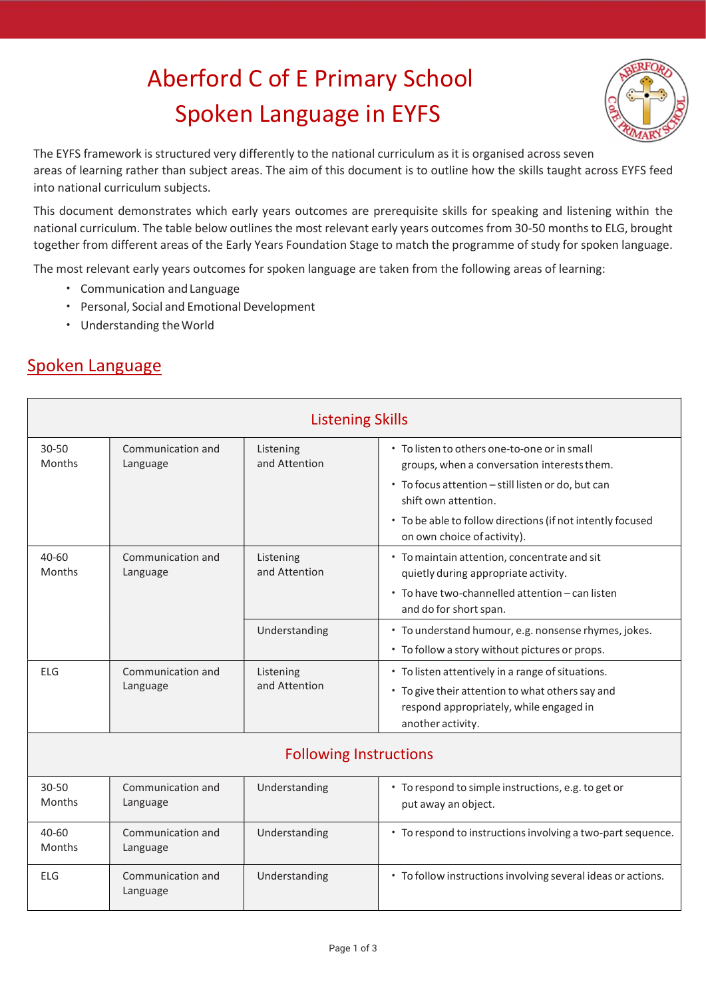## Aberford C of E Primary School Spoken Language in EYFS



The EYFS framework is structured very differently to the national curriculum as it is organised across seven areas of learning rather than subject areas. The aim of this document is to outline how the skills taught across EYFS feed into national curriculum subjects.

This document demonstrates which early years outcomes are prerequisite skills for speaking and listening within the national curriculum. The table below outlines the most relevant early years outcomes from 30-50 months to ELG, brought together from different areas of the Early Years Foundation Stage to match the programme of study for spoken language.

The most relevant early years outcomes for spoken language are taken from the following areas of learning:

- Communication and Language
- Personal, Social and Emotional Development
- Understanding the World

## Spoken Language

| <b>Listening Skills</b>       |                               |                            |                                                                                                                                                                                                                                                                        |  |  |  |
|-------------------------------|-------------------------------|----------------------------|------------------------------------------------------------------------------------------------------------------------------------------------------------------------------------------------------------------------------------------------------------------------|--|--|--|
| $30 - 50$<br>Months           | Communication and<br>Language | Listening<br>and Attention | • To listen to others one-to-one or in small<br>groups, when a conversation interests them.<br>• To focus attention - still listen or do, but can<br>shift own attention.<br>• To be able to follow directions (if not intently focused<br>on own choice of activity). |  |  |  |
| $40 - 60$<br>Months           | Communication and<br>Language | Listening<br>and Attention | • To maintain attention, concentrate and sit<br>quietly during appropriate activity.<br>• To have two-channelled attention - can listen<br>and do for short span.                                                                                                      |  |  |  |
|                               |                               | Understanding              | • To understand humour, e.g. nonsense rhymes, jokes.<br>• To follow a story without pictures or props.                                                                                                                                                                 |  |  |  |
| <b>ELG</b>                    | Communication and<br>Language | Listening<br>and Attention | • To listen attentively in a range of situations.<br>• To give their attention to what others say and<br>respond appropriately, while engaged in<br>another activity.                                                                                                  |  |  |  |
| <b>Following Instructions</b> |                               |                            |                                                                                                                                                                                                                                                                        |  |  |  |
| $30 - 50$<br>Months           | Communication and<br>Language | Understanding              | • To respond to simple instructions, e.g. to get or<br>put away an object.                                                                                                                                                                                             |  |  |  |
| 40-60<br>Months               | Communication and<br>Language | Understanding              | • To respond to instructions involving a two-part sequence.                                                                                                                                                                                                            |  |  |  |
| <b>ELG</b>                    | Communication and<br>Language | Understanding              | • To follow instructions involving several ideas or actions.                                                                                                                                                                                                           |  |  |  |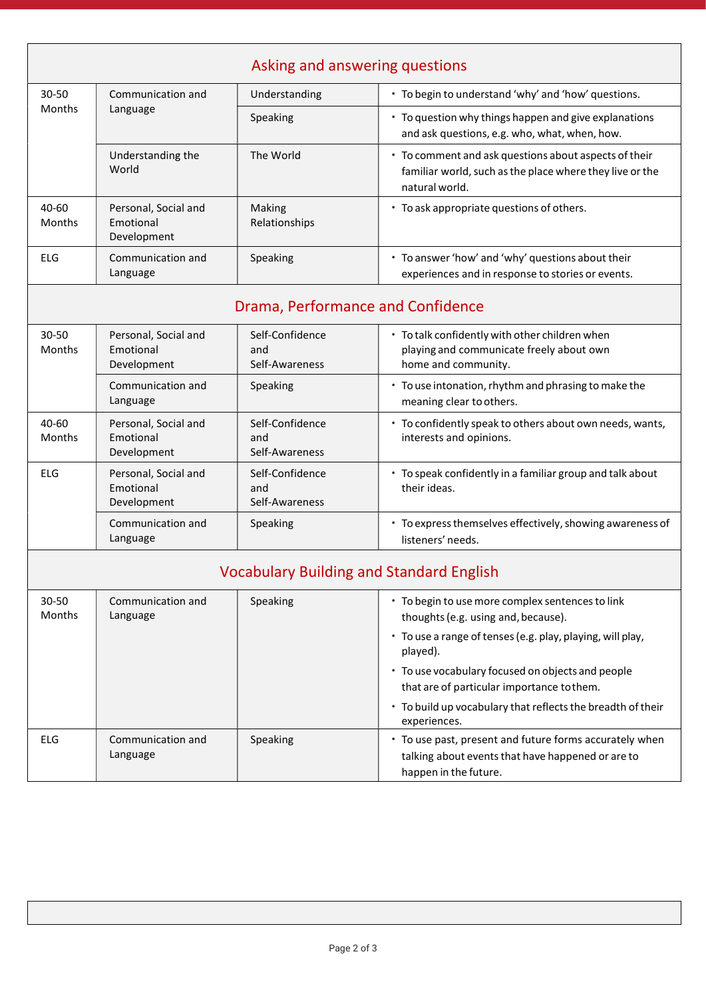|                        |                                                  |                                          | Asking and answering questions                                                                                                        |
|------------------------|--------------------------------------------------|------------------------------------------|---------------------------------------------------------------------------------------------------------------------------------------|
| 30-50<br><b>Months</b> | Communication and<br>Language                    | Understanding                            | • To begin to understand 'why' and 'how' questions.                                                                                   |
|                        |                                                  | Speaking                                 | • To question why things happen and give explanations<br>and ask questions, e.g. who, what, when, how.                                |
|                        | Understanding the<br>World                       | The World                                | • To comment and ask questions about aspects of their<br>familiar world, such as the place where they live or the<br>natural world.   |
| 40-60<br>Months        | Personal, Social and<br>Emotional<br>Development | Making<br>Relationships                  | • To ask appropriate questions of others.                                                                                             |
| <b>ELG</b>             | Communication and<br>Language                    | Speaking                                 | • To answer 'how' and 'why' questions about their<br>experiences and in response to stories or events.                                |
|                        |                                                  |                                          | Drama, Performance and Confidence                                                                                                     |
| 30-50<br>Months        | Personal, Social and<br>Emotional<br>Development | Self-Confidence<br>and<br>Self-Awareness | • To talk confidently with other children when<br>playing and communicate freely about own<br>home and community.                     |
|                        | Communication and<br>Language                    | Speaking                                 | • To use intonation, rhythm and phrasing to make the<br>meaning clear to others.                                                      |
| $40 - 60$<br>Months    | Personal, Social and<br>Emotional<br>Development | Self-Confidence<br>and<br>Self-Awareness | • To confidently speak to others about own needs, wants,<br>interests and opinions.                                                   |
| <b>ELG</b>             | Personal, Social and<br>Emotional<br>Development | Self-Confidence<br>and<br>Self-Awareness | • To speak confidently in a familiar group and talk about<br>their ideas.                                                             |
|                        | Communication and<br>Language                    | Speaking                                 | • To express themselves effectively, showing awareness of<br>listeners' needs.                                                        |
|                        |                                                  |                                          | <b>Vocabulary Building and Standard English</b>                                                                                       |
| 30-50<br>Months        | Communication and<br>Language                    | Speaking                                 | • To begin to use more complex sentences to link<br>thoughts (e.g. using and, because).                                               |
|                        |                                                  |                                          | • To use a range of tenses (e.g. play, playing, will play,<br>played).                                                                |
|                        |                                                  |                                          | • To use vocabulary focused on objects and people<br>that are of particular importance to them.                                       |
|                        |                                                  |                                          | • To build up vocabulary that reflects the breadth of their<br>experiences.                                                           |
| ELG                    | Communication and<br>Language                    | Speaking                                 | • To use past, present and future forms accurately when<br>talking about events that have happened or are to<br>happen in the future. |